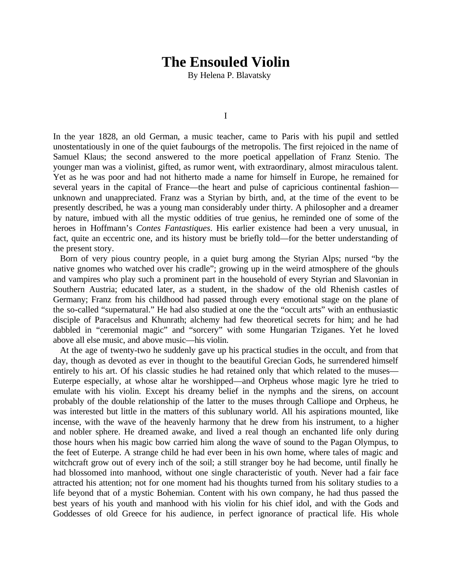## **The Ensouled Violin**

By Helena P. Blavatsky

I

In the year 1828, an old German, a music teacher, came to Paris with his pupil and settled unostentatiously in one of the quiet faubourgs of the metropolis. The first rejoiced in the name of Samuel Klaus; the second answered to the more poetical appellation of Franz Stenio. The younger man was a violinist, gifted, as rumor went, with extraordinary, almost miraculous talent. Yet as he was poor and had not hitherto made a name for himself in Europe, he remained for several years in the capital of France—the heart and pulse of capricious continental fashion unknown and unappreciated. Franz was a Styrian by birth, and, at the time of the event to be presently described, he was a young man considerably under thirty. A philosopher and a dreamer by nature, imbued with all the mystic oddities of true genius, he reminded one of some of the heroes in Hoffmann's *Contes Fantastiques*. His earlier existence had been a very unusual, in fact, quite an eccentric one, and its history must be briefly told—for the better understanding of the present story.

Born of very pious country people, in a quiet burg among the Styrian Alps; nursed "by the native gnomes who watched over his cradle"; growing up in the weird atmosphere of the ghouls and vampires who play such a prominent part in the household of every Styrian and Slavonian in Southern Austria; educated later, as a student, in the shadow of the old Rhenish castles of Germany; Franz from his childhood had passed through every emotional stage on the plane of the so-called "supernatural." He had also studied at one the the "occult arts" with an enthusiastic disciple of Paracelsus and Khunrath; alchemy had few theoretical secrets for him; and he had dabbled in "ceremonial magic" and "sorcery" with some Hungarian Tziganes. Yet he loved above all else music, and above music—his violin.

At the age of twenty-two he suddenly gave up his practical studies in the occult, and from that day, though as devoted as ever in thought to the beautiful Grecian Gods, he surrendered himself entirely to his art. Of his classic studies he had retained only that which related to the muses— Euterpe especially, at whose altar he worshipped—and Orpheus whose magic lyre he tried to emulate with his violin. Except his dreamy belief in the nymphs and the sirens, on account probably of the double relationship of the latter to the muses through Calliope and Orpheus, he was interested but little in the matters of this sublunary world. All his aspirations mounted, like incense, with the wave of the heavenly harmony that he drew from his instrument, to a higher and nobler sphere. He dreamed awake, and lived a real though an enchanted life only during those hours when his magic bow carried him along the wave of sound to the Pagan Olympus, to the feet of Euterpe. A strange child he had ever been in his own home, where tales of magic and witchcraft grow out of every inch of the soil; a still stranger boy he had become, until finally he had blossomed into manhood, without one single characteristic of youth. Never had a fair face attracted his attention; not for one moment had his thoughts turned from his solitary studies to a life beyond that of a mystic Bohemian. Content with his own company, he had thus passed the best years of his youth and manhood with his violin for his chief idol, and with the Gods and Goddesses of old Greece for his audience, in perfect ignorance of practical life. His whole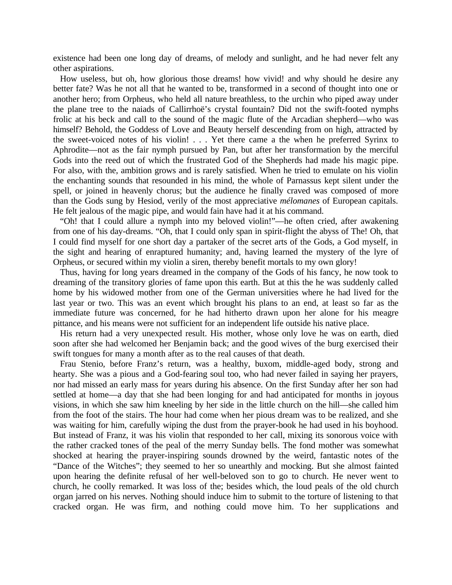existence had been one long day of dreams, of melody and sunlight, and he had never felt any other aspirations.

How useless, but oh, how glorious those dreams! how vivid! and why should he desire any better fate? Was he not all that he wanted to be, transformed in a second of thought into one or another hero; from Orpheus, who held all nature breathless, to the urchin who piped away under the plane tree to the naiads of Callirrhoë's crystal fountain? Did not the swift-footed nymphs frolic at his beck and call to the sound of the magic flute of the Arcadian shepherd—who was himself? Behold, the Goddess of Love and Beauty herself descending from on high, attracted by the sweet-voiced notes of his violin! . . . Yet there came a the when he preferred Syrinx to Aphrodite—not as the fair nymph pursued by Pan, but after her transformation by the merciful Gods into the reed out of which the frustrated God of the Shepherds had made his magic pipe. For also, with the, ambition grows and is rarely satisfied. When he tried to emulate on his violin the enchanting sounds that resounded in his mind, the whole of Parnassus kept silent under the spell, or joined in heavenly chorus; but the audience he finally craved was composed of more than the Gods sung by Hesiod, verily of the most appreciative *mélomanes* of European capitals. He felt jealous of the magic pipe, and would fain have had it at his command.

"Oh! that I could allure a nymph into my beloved violin!"—he often cried, after awakening from one of his day-dreams. "Oh, that I could only span in spirit-flight the abyss of The! Oh, that I could find myself for one short day a partaker of the secret arts of the Gods, a God myself, in the sight and hearing of enraptured humanity; and, having learned the mystery of the lyre of Orpheus, or secured within my violin a siren, thereby benefit mortals to my own glory!

Thus, having for long years dreamed in the company of the Gods of his fancy, he now took to dreaming of the transitory glories of fame upon this earth. But at this the he was suddenly called home by his widowed mother from one of the German universities where he had lived for the last year or two. This was an event which brought his plans to an end, at least so far as the immediate future was concerned, for he had hitherto drawn upon her alone for his meagre pittance, and his means were not sufficient for an independent life outside his native place.

His return had a very unexpected result. His mother, whose only love he was on earth, died soon after she had welcomed her Benjamin back; and the good wives of the burg exercised their swift tongues for many a month after as to the real causes of that death.

Frau Stenio, before Franz's return, was a healthy, buxom, middle-aged body, strong and hearty. She was a pious and a God-fearing soul too, who had never failed in saying her prayers, nor had missed an early mass for years during his absence. On the first Sunday after her son had settled at home—a day that she had been longing for and had anticipated for months in joyous visions, in which she saw him kneeling by her side in the little church on the hill—she called him from the foot of the stairs. The hour had come when her pious dream was to be realized, and she was waiting for him, carefully wiping the dust from the prayer-book he had used in his boyhood. But instead of Franz, it was his violin that responded to her call, mixing its sonorous voice with the rather cracked tones of the peal of the merry Sunday bells. The fond mother was somewhat shocked at hearing the prayer-inspiring sounds drowned by the weird, fantastic notes of the "Dance of the Witches"; they seemed to her so unearthly and mocking. But she almost fainted upon hearing the definite refusal of her well-beloved son to go to church. He never went to church, he coolly remarked. It was loss of the; besides which, the loud peals of the old church organ jarred on his nerves. Nothing should induce him to submit to the torture of listening to that cracked organ. He was firm, and nothing could move him. To her supplications and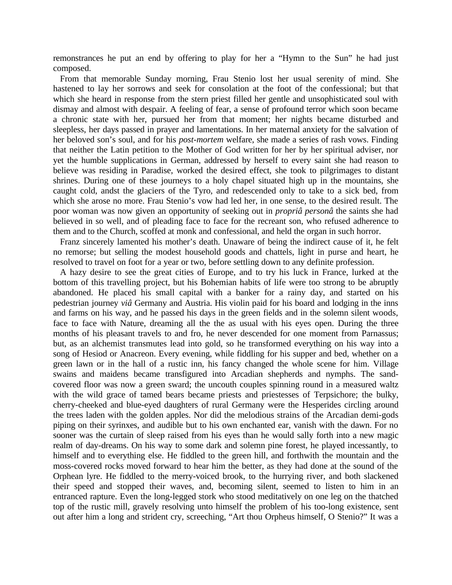remonstrances he put an end by offering to play for her a "Hymn to the Sun" he had just composed.

From that memorable Sunday morning, Frau Stenio lost her usual serenity of mind. She hastened to lay her sorrows and seek for consolation at the foot of the confessional; but that which she heard in response from the stern priest filled her gentle and unsophisticated soul with dismay and almost with despair. A feeling of fear, a sense of profound terror which soon became a chronic state with her, pursued her from that moment; her nights became disturbed and sleepless, her days passed in prayer and lamentations. In her maternal anxiety for the salvation of her beloved son's soul, and for his *post-mortem* welfare, she made a series of rash vows. Finding that neither the Latin petition to the Mother of God written for her by her spiritual adviser, nor yet the humble supplications in German, addressed by herself to every saint she had reason to believe was residing in Paradise, worked the desired effect, she took to pilgrimages to distant shrines. During one of these journeys to a holy chapel situated high up in the mountains, she caught cold, andst the glaciers of the Tyro, and redescended only to take to a sick bed, from which she arose no more. Frau Stenio's vow had led her, in one sense, to the desired result. The poor woman was now given an opportunity of seeking out in *propriâ personâ* the saints she had believed in so well, and of pleading face to face for the recreant son, who refused adherence to them and to the Church, scoffed at monk and confessional, and held the organ in such horror.

Franz sincerely lamented his mother's death. Unaware of being the indirect cause of it, he felt no remorse; but selling the modest household goods and chattels, light in purse and heart, he resolved to travel on foot for a year or two, before settling down to any definite profession.

A hazy desire to see the great cities of Europe, and to try his luck in France, lurked at the bottom of this travelling project, but his Bohemian habits of life were too strong to be abruptly abandoned. He placed his small capital with a banker for a rainy day, and started on his pedestrian journey *viâ* Germany and Austria. His violin paid for his board and lodging in the inns and farms on his way, and he passed his days in the green fields and in the solemn silent woods, face to face with Nature, dreaming all the the as usual with his eyes open. During the three months of his pleasant travels to and fro, he never descended for one moment from Parnassus; but, as an alchemist transmutes lead into gold, so he transformed everything on his way into a song of Hesiod or Anacreon. Every evening, while fiddling for his supper and bed, whether on a green lawn or in the hall of a rustic inn, his fancy changed the whole scene for him. Village swains and maidens became transfigured into Arcadian shepherds and nymphs. The sandcovered floor was now a green sward; the uncouth couples spinning round in a measured waltz with the wild grace of tamed bears became priests and priestesses of Terpsichore; the bulky, cherry-cheeked and blue-eyed daughters of rural Germany were the Hesperides circling around the trees laden with the golden apples. Nor did the melodious strains of the Arcadian demi-gods piping on their syrinxes, and audible but to his own enchanted ear, vanish with the dawn. For no sooner was the curtain of sleep raised from his eyes than he would sally forth into a new magic realm of day-dreams. On his way to some dark and solemn pine forest, he played incessantly, to himself and to everything else. He fiddled to the green hill, and forthwith the mountain and the moss-covered rocks moved forward to hear him the better, as they had done at the sound of the Orphean lyre. He fiddled to the merry-voiced brook, to the hurrying river, and both slackened their speed and stopped their waves, and, becoming silent, seemed to listen to him in an entranced rapture. Even the long-legged stork who stood meditatively on one leg on the thatched top of the rustic mill, gravely resolving unto himself the problem of his too-long existence, sent out after him a long and strident cry, screeching, "Art thou Orpheus himself, O Stenio?" It was a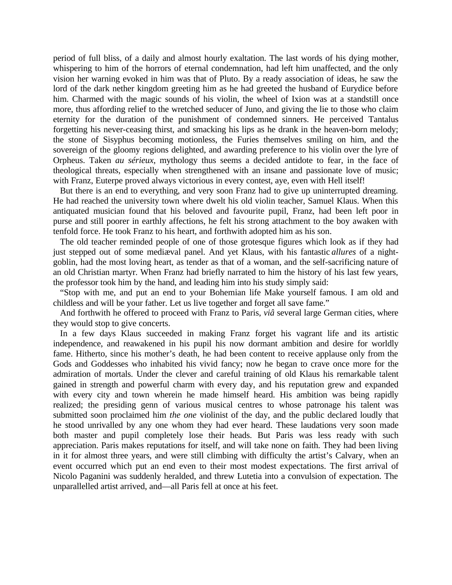period of full bliss, of a daily and almost hourly exaltation. The last words of his dying mother, whispering to him of the horrors of eternal condemnation, had left him unaffected, and the only vision her warning evoked in him was that of Pluto. By a ready association of ideas, he saw the lord of the dark nether kingdom greeting him as he had greeted the husband of Eurydice before him. Charmed with the magic sounds of his violin, the wheel of Ixion was at a standstill once more, thus affording relief to the wretched seducer of Juno, and giving the lie to those who claim eternity for the duration of the punishment of condemned sinners. He perceived Tantalus forgetting his never-ceasing thirst, and smacking his lips as he drank in the heaven-born melody; the stone of Sisyphus becoming motionless, the Furies themselves smiling on him, and the sovereign of the gloomy regions delighted, and awarding preference to his violin over the lyre of Orpheus. Taken *au sérieux*, mythology thus seems a decided antidote to fear, in the face of theological threats, especially when strengthened with an insane and passionate love of music; with Franz, Euterpe proved always victorious in every contest, aye, even with Hell itself!

But there is an end to everything, and very soon Franz had to give up uninterrupted dreaming. He had reached the university town where dwelt his old violin teacher, Samuel Klaus. When this antiquated musician found that his beloved and favourite pupil, Franz, had been left poor in purse and still poorer in earthly affections, he felt his strong attachment to the boy awaken with tenfold force. He took Franz to his heart, and forthwith adopted him as his son.

The old teacher reminded people of one of those grotesque figures which look as if they had just stepped out of some mediæval panel. And yet Klaus, with his fantastic *allures* of a nightgoblin, had the most loving heart, as tender as that of a woman, and the self-sacrificing nature of an old Christian martyr. When Franz had briefly narrated to him the history of his last few years, the professor took him by the hand, and leading him into his study simply said:

"Stop with me, and put an end to your Bohemian life Make yourself famous. I am old and childless and will be your father. Let us live together and forget all save fame."

And forthwith he offered to proceed with Franz to Paris, *viâ* several large German cities, where they would stop to give concerts.

In a few days Klaus succeeded in making Franz forget his vagrant life and its artistic independence, and reawakened in his pupil his now dormant ambition and desire for worldly fame. Hitherto, since his mother's death, he had been content to receive applause only from the Gods and Goddesses who inhabited his vivid fancy; now he began to crave once more for the admiration of mortals. Under the clever and careful training of old Klaus his remarkable talent gained in strength and powerful charm with every day, and his reputation grew and expanded with every city and town wherein he made himself heard. His ambition was being rapidly realized; the presiding genn of various musical centres to whose patronage his talent was submitted soon proclaimed him *the one* violinist of the day, and the public declared loudly that he stood unrivalled by any one whom they had ever heard. These laudations very soon made both master and pupil completely lose their heads. But Paris was less ready with such appreciation. Paris makes reputations for itself, and will take none on faith. They had been living in it for almost three years, and were still climbing with difficulty the artist's Calvary, when an event occurred which put an end even to their most modest expectations. The first arrival of Nicolo Paganini was suddenly heralded, and threw Lutetia into a convulsion of expectation. The unparallelled artist arrived, and—all Paris fell at once at his feet.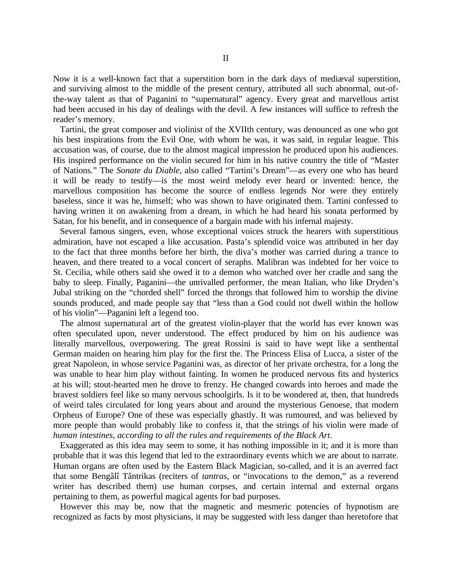Now it is a well-known fact that a superstition born in the dark days of mediæval superstition, and surviving almost to the middle of the present century, attributed all such abnormal, out-ofthe-way talent as that of Paganini to "supernatural" agency. Every great and marvellous artist had been accused in his day of dealings with the devil. A few instances will suffice to refresh the reader's memory.

Tartini, the great composer and violinist of the XVIIth century, was denounced as one who got his best inspirations from the Evil One, with whom he was, it was said, in regular league. This accusation was, of course, due to the almost magical impression he produced upon his audiences. His inspired performance on the violin secured for him in his native country the title of "Master of Nations." The *Sonate du Diable*, also called "Tartini's Dream"—as every one who has heard it will be ready to testify—is the most weird melody ever heard or invented: hence, the marvellous composition has become the source of endless legends Nor were they entirely baseless, since it was he, himself; who was shown to have originated them. Tartini confessed to having written it on awakening from a dream, in which he had heard his sonata performed by Satan, for his benefit, and in consequence of a bargain made with his infernal majesty.

Several famous singers, even, whose exceptional voices struck the hearers with superstitious admiration, have not escaped a like accusation. Pasta's splendid voice was attributed in her day to the fact that three months before her birth, the diva's mother was carried during a trance to heaven, and there treated to a vocal concert of seraphs. Malibran was indebted for her voice to St. Cecilia, while others said she owed it to a demon who watched over her cradle and sang the baby to sleep. Finally, Paganini—the unrivalled performer, the mean Italian, who like Dryden's Jubal striking on the "chorded shell" forced the throngs that followed him to worship the divine sounds produced, and made people say that "less than a God could not dwell within the hollow of his violin"—Paganini left a legend too.

The almost supernatural art of the greatest violin-player that the world has ever known was often speculated upon, never understood. The effect produced by him on his audience was literally marvellous, overpowering. The great Rossini is said to have wept like a senthental German maiden on hearing him play for the first the. The Princess Elisa of Lucca, a sister of the great Napoleon, in whose service Paganini was, as director of her private orchestra, for a long the was unable to hear him play without fainting. In women he produced nervous fits and hysterics at his will; stout-hearted men he drove to frenzy. He changed cowards into heroes and made the bravest soldiers feel like so many nervous schoolgirls. Is it to be wondered at, then, that hundreds of weird tales circulated for long years about and around the mysterious Genoese, that modern Orpheus of Europe? One of these was especially ghastly. It was rumoured, and was believed by more people than would probably like to confess it, that the strings of his violin were made of *human intestines, according to all the rules and requirements of the Black Art*.

Exaggerated as this idea may seem to some, it has nothing impossible in it; and it is more than probable that it was this legend that led to the extraordinary events which we are about to narrate. Human organs are often used by the Eastern Black Magician, so-called, and it is an averred fact that some Bengâlî Tântrikas (reciters of *tantras*, or "invocations to the demon," as a reverend writer has described them) use human corpses, and certain internal and external organs pertaining to them, as powerful magical agents for bad purposes.

However this may be, now that the magnetic and mesmeric potencies of hypnotism are recognized as facts by most physicians, it may be suggested with less danger than heretofore that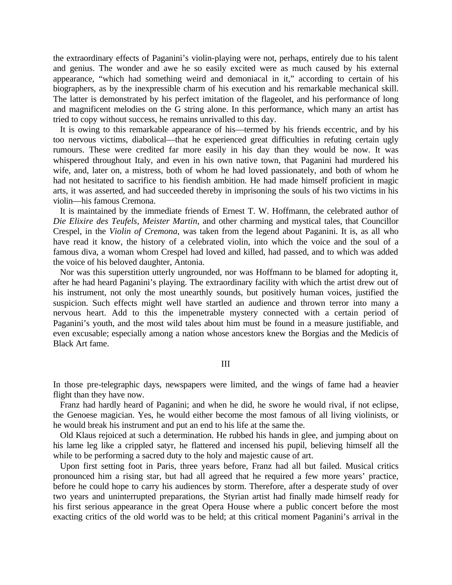the extraordinary effects of Paganini's violin-playing were not, perhaps, entirely due to his talent and genius. The wonder and awe he so easily excited were as much caused by his external appearance, "which had something weird and demoniacal in it," according to certain of his biographers, as by the inexpressible charm of his execution and his remarkable mechanical skill. The latter is demonstrated by his perfect imitation of the flageolet, and his performance of long and magnificent melodies on the G string alone. In this performance, which many an artist has tried to copy without success, he remains unrivalled to this day.

It is owing to this remarkable appearance of his—termed by his friends eccentric, and by his too nervous victims, diabolical—that he experienced great difficulties in refuting certain ugly rumours. These were credited far more easily in his day than they would be now. It was whispered throughout Italy, and even in his own native town, that Paganini had murdered his wife, and, later on, a mistress, both of whom he had loved passionately, and both of whom he had not hesitated to sacrifice to his fiendish ambition. He had made himself proficient in magic arts, it was asserted, and had succeeded thereby in imprisoning the souls of his two victims in his violin—his famous Cremona.

It is maintained by the immediate friends of Ernest T. W. Hoffmann, the celebrated author of *Die Elixire des Teufels*, *Meister Martin*, and other charming and mystical tales, that Councillor Crespel, in the *Violin of Cremona*, was taken from the legend about Paganini. It is, as all who have read it know, the history of a celebrated violin, into which the voice and the soul of a famous diva, a woman whom Crespel had loved and killed, had passed, and to which was added the voice of his beloved daughter, Antonia.

Nor was this superstition utterly ungrounded, nor was Hoffmann to be blamed for adopting it, after he had heard Paganini's playing. The extraordinary facility with which the artist drew out of his instrument, not only the most unearthly sounds, but positively human voices, justified the suspicion. Such effects might well have startled an audience and thrown terror into many a nervous heart. Add to this the impenetrable mystery connected with a certain period of Paganini's youth, and the most wild tales about him must be found in a measure justifiable, and even excusable; especially among a nation whose ancestors knew the Borgias and the Medicis of Black Art fame.

## III

In those pre-telegraphic days, newspapers were limited, and the wings of fame had a heavier flight than they have now.

Franz had hardly heard of Paganini; and when he did, he swore he would rival, if not eclipse, the Genoese magician. Yes, he would either become the most famous of all living violinists, or he would break his instrument and put an end to his life at the same the.

Old Klaus rejoiced at such a determination. He rubbed his hands in glee, and jumping about on his lame leg like a crippled satyr, he flattered and incensed his pupil, believing himself all the while to be performing a sacred duty to the holy and majestic cause of art.

Upon first setting foot in Paris, three years before, Franz had all but failed. Musical critics pronounced him a rising star, but had all agreed that he required a few more years' practice, before he could hope to carry his audiences by storm. Therefore, after a desperate study of over two years and uninterrupted preparations, the Styrian artist had finally made himself ready for his first serious appearance in the great Opera House where a public concert before the most exacting critics of the old world was to be held; at this critical moment Paganini's arrival in the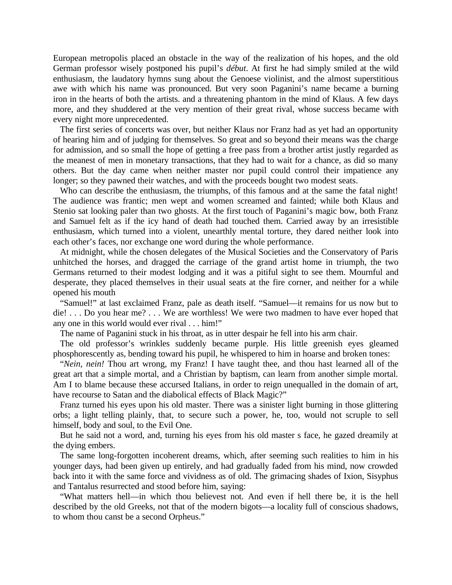European metropolis placed an obstacle in the way of the realization of his hopes, and the old German professor wisely postponed his pupil's *début*. At first he had simply smiled at the wild enthusiasm, the laudatory hymns sung about the Genoese violinist, and the almost superstitious awe with which his name was pronounced. But very soon Paganini's name became a burning iron in the hearts of both the artists. and a threatening phantom in the mind of Klaus. A few days more, and they shuddered at the very mention of their great rival, whose success became with every night more unprecedented.

The first series of concerts was over, but neither Klaus nor Franz had as yet had an opportunity of hearing him and of judging for themselves. So great and so beyond their means was the charge for admission, and so small the hope of getting a free pass from a brother artist justly regarded as the meanest of men in monetary transactions, that they had to wait for a chance, as did so many others. But the day came when neither master nor pupil could control their impatience any longer; so they pawned their watches, and with the proceeds bought two modest seats.

Who can describe the enthusiasm, the triumphs, of this famous and at the same the fatal night! The audience was frantic; men wept and women screamed and fainted; while both Klaus and Stenio sat looking paler than two ghosts. At the first touch of Paganini's magic bow, both Franz and Samuel felt as if the icy hand of death had touched them. Carried away by an irresistible enthusiasm, which turned into a violent, unearthly mental torture, they dared neither look into each other's faces, nor exchange one word during the whole performance.

At midnight, while the chosen delegates of the Musical Societies and the Conservatory of Paris unhitched the horses, and dragged the carriage of the grand artist home in triumph, the two Germans returned to their modest lodging and it was a pitiful sight to see them. Mournful and desperate, they placed themselves in their usual seats at the fire corner, and neither for a while opened his mouth

"Samuel!" at last exclaimed Franz, pale as death itself. "Samuel—it remains for us now but to die! . . . Do you hear me? . . . We are worthless! We were two madmen to have ever hoped that any one in this world would ever rival . . . him!"

The name of Paganini stuck in his throat, as in utter despair he fell into his arm chair.

The old professor's wrinkles suddenly became purple. His little greenish eyes gleamed phosphorescently as, bending toward his pupil, he whispered to him in hoarse and broken tones:

"*Nein, nein!* Thou art wrong, my Franz! I have taught thee, and thou hast learned all of the great art that a simple mortal, and a Christian by baptism, can learn from another simple mortal. Am I to blame because these accursed Italians, in order to reign unequalled in the domain of art, have recourse to Satan and the diabolical effects of Black Magic?"

Franz turned his eyes upon his old master. There was a sinister light burning in those glittering orbs; a light telling plainly, that, to secure such a power, he, too, would not scruple to sell himself, body and soul, to the Evil One.

But he said not a word, and, turning his eyes from his old master s face, he gazed dreamily at the dying embers.

The same long-forgotten incoherent dreams, which, after seeming such realities to him in his younger days, had been given up entirely, and had gradually faded from his mind, now crowded back into it with the same force and vividness as of old. The grimacing shades of Ixion, Sisyphus and Tantalus resurrected and stood before him, saying:

"What matters hell—in which thou believest not. And even if hell there be, it is the hell described by the old Greeks, not that of the modern bigots—a locality full of conscious shadows, to whom thou canst be a second Orpheus."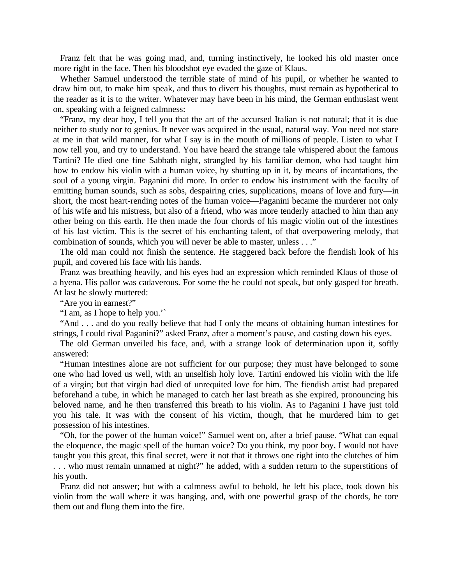Franz felt that he was going mad, and, turning instinctively, he looked his old master once more right in the face. Then his bloodshot eye evaded the gaze of Klaus.

Whether Samuel understood the terrible state of mind of his pupil, or whether he wanted to draw him out, to make him speak, and thus to divert his thoughts, must remain as hypothetical to the reader as it is to the writer. Whatever may have been in his mind, the German enthusiast went on, speaking with a feigned calmness:

"Franz, my dear boy, I tell you that the art of the accursed Italian is not natural; that it is due neither to study nor to genius. It never was acquired in the usual, natural way. You need not stare at me in that wild manner, for what I say is in the mouth of millions of people. Listen to what I now tell you, and try to understand. You have heard the strange tale whispered about the famous Tartini? He died one fine Sabbath night, strangled by his familiar demon, who had taught him how to endow his violin with a human voice, by shutting up in it, by means of incantations, the soul of a young virgin. Paganini did more. In order to endow his instrument with the faculty of emitting human sounds, such as sobs, despairing cries, supplications, moans of love and fury—in short, the most heart-rending notes of the human voice—Paganini became the murderer not only of his wife and his mistress, but also of a friend, who was more tenderly attached to him than any other being on this earth. He then made the four chords of his magic violin out of the intestines of his last victim. This is the secret of his enchanting talent, of that overpowering melody, that combination of sounds, which you will never be able to master, unless . . ."

The old man could not finish the sentence. He staggered back before the fiendish look of his pupil, and covered his face with his hands.

Franz was breathing heavily, and his eyes had an expression which reminded Klaus of those of a hyena. His pallor was cadaverous. For some the he could not speak, but only gasped for breath. At last he slowly muttered:

"Are you in earnest?"

"I am, as I hope to help you.'`

"And . . . and do you really believe that had I only the means of obtaining human intestines for strings, I could rival Paganini?" asked Franz, after a moment's pause, and casting down his eyes.

The old German unveiled his face, and, with a strange look of determination upon it, softly answered:

"Human intestines alone are not sufficient for our purpose; they must have belonged to some one who had loved us well, with an unselfish holy love. Tartini endowed his violin with the life of a virgin; but that virgin had died of unrequited love for him. The fiendish artist had prepared beforehand a tube, in which he managed to catch her last breath as she expired, pronouncing his beloved name, and he then transferred this breath to his violin. As to Paganini I have just told you his tale. It was with the consent of his victim, though, that he murdered him to get possession of his intestines.

"Oh, for the power of the human voice!" Samuel went on, after a brief pause. "What can equal the eloquence, the magic spell of the human voice? Do you think, my poor boy, I would not have taught you this great, this final secret, were it not that it throws one right into the clutches of him . . . who must remain unnamed at night?" he added, with a sudden return to the superstitions of his youth.

Franz did not answer; but with a calmness awful to behold, he left his place, took down his violin from the wall where it was hanging, and, with one powerful grasp of the chords, he tore them out and flung them into the fire.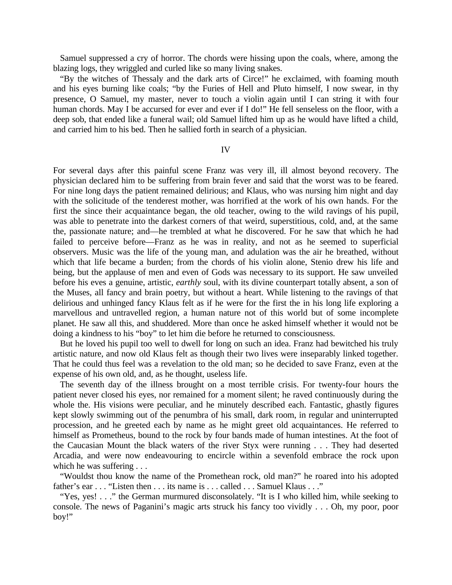Samuel suppressed a cry of horror. The chords were hissing upon the coals, where, among the blazing logs, they wriggled and curled like so many living snakes.

"By the witches of Thessaly and the dark arts of Circe!" he exclaimed, with foaming mouth and his eyes burning like coals; "by the Furies of Hell and Pluto himself, I now swear, in thy presence, O Samuel, my master, never to touch a violin again until I can string it with four human chords. May I be accursed for ever and ever if I do!" He fell senseless on the floor, with a deep sob, that ended like a funeral wail; old Samuel lifted him up as he would have lifted a child, and carried him to his bed. Then he sallied forth in search of a physician.

IV

For several days after this painful scene Franz was very ill, ill almost beyond recovery. The physician declared him to be suffering from brain fever and said that the worst was to be feared. For nine long days the patient remained delirious; and Klaus, who was nursing him night and day with the solicitude of the tenderest mother, was horrified at the work of his own hands. For the first the since their acquaintance began, the old teacher, owing to the wild ravings of his pupil, was able to penetrate into the darkest corners of that weird, superstitious, cold, and, at the same the, passionate nature; and—he trembled at what he discovered. For he saw that which he had failed to perceive before—Franz as he was in reality, and not as he seemed to superficial observers. Music was the life of the young man, and adulation was the air he breathed, without which that life became a burden; from the chords of his violin alone, Stenio drew his life and being, but the applause of men and even of Gods was necessary to its support. He saw unveiled before his eves a genuine, artistic, *earthly* soul, with its divine counterpart totally absent, a son of the Muses, all fancy and brain poetry, but without a heart. While listening to the ravings of that delirious and unhinged fancy Klaus felt as if he were for the first the in his long life exploring a marvellous and untravelled region, a human nature not of this world but of some incomplete planet. He saw all this, and shuddered. More than once he asked himself whether it would not be doing a kindness to his "boy" to let him die before he returned to consciousness.

But he loved his pupil too well to dwell for long on such an idea. Franz had bewitched his truly artistic nature, and now old Klaus felt as though their two lives were inseparably linked together. That he could thus feel was a revelation to the old man; so he decided to save Franz, even at the expense of his own old, and, as he thought, useless life.

The seventh day of the illness brought on a most terrible crisis. For twenty-four hours the patient never closed his eyes, nor remained for a moment silent; he raved continuously during the whole the. His visions were peculiar, and he minutely described each. Fantastic, ghastly figures kept slowly swimming out of the penumbra of his small, dark room, in regular and uninterrupted procession, and he greeted each by name as he might greet old acquaintances. He referred to himself as Prometheus, bound to the rock by four bands made of human intestines. At the foot of the Caucasian Mount the black waters of the river Styx were running . . . They had deserted Arcadia, and were now endeavouring to encircle within a sevenfold embrace the rock upon which he was suffering . . .

"Wouldst thou know the name of the Promethean rock, old man?" he roared into his adopted father's ear . . . "Listen then . . . its name is . . . called . . . Samuel Klaus . . ."

"Yes, yes! . . ." the German murmured disconsolately. "It is I who killed him, while seeking to console. The news of Paganini's magic arts struck his fancy too vividly . . . Oh, my poor, poor boy!"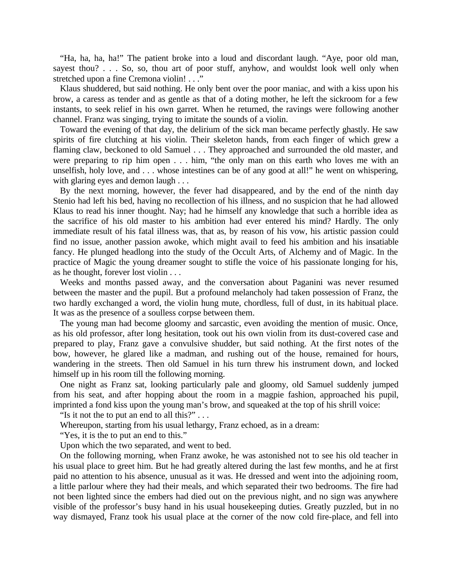"Ha, ha, ha, ha!" The patient broke into a loud and discordant laugh. "Aye, poor old man, sayest thou? . . . So, so, thou art of poor stuff, anyhow, and wouldst look well only when stretched upon a fine Cremona violin! . . ."

Klaus shuddered, but said nothing. He only bent over the poor maniac, and with a kiss upon his brow, a caress as tender and as gentle as that of a doting mother, he left the sickroom for a few instants, to seek relief in his own garret. When he returned, the ravings were following another channel. Franz was singing, trying to imitate the sounds of a violin.

Toward the evening of that day, the delirium of the sick man became perfectly ghastly. He saw spirits of fire clutching at his violin. Their skeleton hands, from each finger of which grew a flaming claw, beckoned to old Samuel . . . They approached and surrounded the old master, and were preparing to rip him open . . . him, "the only man on this earth who loves me with an unselfish, holy love, and . . . whose intestines can be of any good at all!" he went on whispering, with glaring eyes and demon laugh . . .

By the next morning, however, the fever had disappeared, and by the end of the ninth day Stenio had left his bed, having no recollection of his illness, and no suspicion that he had allowed Klaus to read his inner thought. Nay; had he himself any knowledge that such a horrible idea as the sacrifice of his old master to his ambition had ever entered his mind? Hardly. The only immediate result of his fatal illness was, that as, by reason of his vow, his artistic passion could find no issue, another passion awoke, which might avail to feed his ambition and his insatiable fancy. He plunged headlong into the study of the Occult Arts, of Alchemy and of Magic. In the practice of Magic the young dreamer sought to stifle the voice of his passionate longing for his, as he thought, forever lost violin . . .

Weeks and months passed away, and the conversation about Paganini was never resumed between the master and the pupil. But a profound melancholy had taken possession of Franz, the two hardly exchanged a word, the violin hung mute, chordless, full of dust, in its habitual place. It was as the presence of a soulless corpse between them.

The young man had become gloomy and sarcastic, even avoiding the mention of music. Once, as his old professor, after long hesitation, took out his own violin from its dust-covered case and prepared to play, Franz gave a convulsive shudder, but said nothing. At the first notes of the bow, however, he glared like a madman, and rushing out of the house, remained for hours, wandering in the streets. Then old Samuel in his turn threw his instrument down, and locked himself up in his room till the following morning.

One night as Franz sat, looking particularly pale and gloomy, old Samuel suddenly jumped from his seat, and after hopping about the room in a magpie fashion, approached his pupil, imprinted a fond kiss upon the young man's brow, and squeaked at the top of his shrill voice:

"Is it not the to put an end to all this?"...

Whereupon, starting from his usual lethargy, Franz echoed, as in a dream:

"Yes, it is the to put an end to this."

Upon which the two separated, and went to bed.

On the following morning, when Franz awoke, he was astonished not to see his old teacher in his usual place to greet him. But he had greatly altered during the last few months, and he at first paid no attention to his absence, unusual as it was. He dressed and went into the adjoining room, a little parlour where they had their meals, and which separated their two bedrooms. The fire had not been lighted since the embers had died out on the previous night, and no sign was anywhere visible of the professor's busy hand in his usual housekeeping duties. Greatly puzzled, but in no way dismayed, Franz took his usual place at the corner of the now cold fire-place, and fell into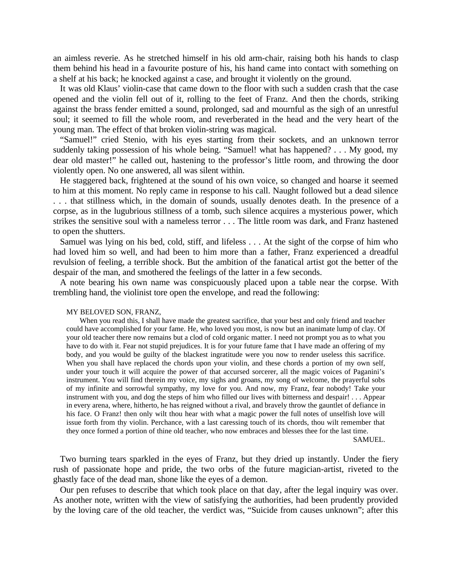an aimless reverie. As he stretched himself in his old arm-chair, raising both his hands to clasp them behind his head in a favourite posture of his, his hand came into contact with something on a shelf at his back; he knocked against a case, and brought it violently on the ground.

It was old Klaus' violin-case that came down to the floor with such a sudden crash that the case opened and the violin fell out of it, rolling to the feet of Franz. And then the chords, striking against the brass fender emitted a sound, prolonged, sad and mournful as the sigh of an unrestful soul; it seemed to fill the whole room, and reverberated in the head and the very heart of the young man. The effect of that broken violin-string was magical.

"Samuel!" cried Stenio, with his eyes starting from their sockets, and an unknown terror suddenly taking possession of his whole being. "Samuel! what has happened? . . . My good, my dear old master!" he called out, hastening to the professor's little room, and throwing the door violently open. No one answered, all was silent within.

He staggered back, frightened at the sound of his own voice, so changed and hoarse it seemed to him at this moment. No reply came in response to his call. Naught followed but a dead silence . . . that stillness which, in the domain of sounds, usually denotes death. In the presence of a corpse, as in the lugubrious stillness of a tomb, such silence acquires a mysterious power, which strikes the sensitive soul with a nameless terror . . . The little room was dark, and Franz hastened to open the shutters.

Samuel was lying on his bed, cold, stiff, and lifeless . . . At the sight of the corpse of him who had loved him so well, and had been to him more than a father, Franz experienced a dreadful revulsion of feeling, a terrible shock. But the ambition of the fanatical artist got the better of the despair of the man, and smothered the feelings of the latter in a few seconds.

A note bearing his own name was conspicuously placed upon a table near the corpse. With trembling hand, the violinist tore open the envelope, and read the following:

## MY BELOVED SON, FRANZ,

When you read this, I shall have made the greatest sacrifice, that your best and only friend and teacher could have accomplished for your fame. He, who loved you most, is now but an inanimate lump of clay. Of your old teacher there now remains but a clod of cold organic matter. I need not prompt you as to what you have to do with it. Fear not stupid prejudices. It is for your future fame that I have made an offering of my body, and you would be guilty of the blackest ingratitude were you now to render useless this sacrifice. When you shall have replaced the chords upon your violin, and these chords a portion of my own self, under your touch it will acquire the power of that accursed sorcerer, all the magic voices of Paganini's instrument. You will find therein my voice, my sighs and groans, my song of welcome, the prayerful sobs of my infinite and sorrowful sympathy, my love for you. And now, my Franz, fear nobody! Take your instrument with you, and dog the steps of him who filled our lives with bitterness and despair! . . . Appear in every arena, where, hitherto, he has reigned without a rival, and bravely throw the gauntlet of defiance in his face. O Franz! then only wilt thou hear with what a magic power the full notes of unselfish love will issue forth from thy violin. Perchance, with a last caressing touch of its chords, thou wilt remember that they once formed a portion of thine old teacher, who now embraces and blesses thee for the last time.

SAMUEL.

Two burning tears sparkled in the eyes of Franz, but they dried up instantly. Under the fiery rush of passionate hope and pride, the two orbs of the future magician-artist, riveted to the ghastly face of the dead man, shone like the eyes of a demon.

Our pen refuses to describe that which took place on that day, after the legal inquiry was over. As another note, written with the view of satisfying the authorities, had been prudently provided by the loving care of the old teacher, the verdict was, "Suicide from causes unknown"; after this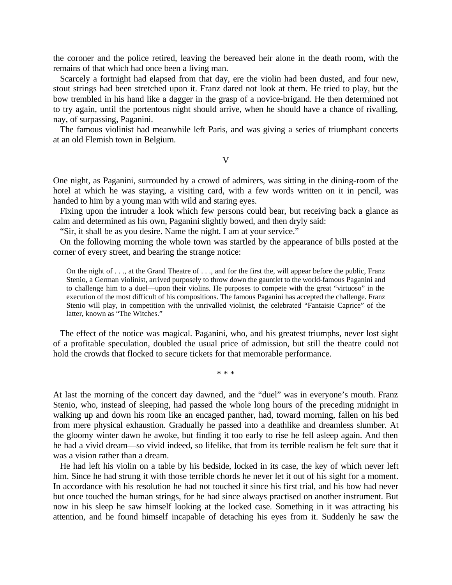the coroner and the police retired, leaving the bereaved heir alone in the death room, with the remains of that which had once been a living man.

Scarcely a fortnight had elapsed from that day, ere the violin had been dusted, and four new, stout strings had been stretched upon it. Franz dared not look at them. He tried to play, but the bow trembled in his hand like a dagger in the grasp of a novice-brigand. He then determined not to try again, until the portentous night should arrive, when he should have a chance of rivalling, nay, of surpassing, Paganini.

The famous violinist had meanwhile left Paris, and was giving a series of triumphant concerts at an old Flemish town in Belgium.

V

One night, as Paganini, surrounded by a crowd of admirers, was sitting in the dining-room of the hotel at which he was staying, a visiting card, with a few words written on it in pencil, was handed to him by a young man with wild and staring eyes.

Fixing upon the intruder a look which few persons could bear, but receiving back a glance as calm and determined as his own, Paganini slightly bowed, and then dryly said:

"Sir, it shall be as you desire. Name the night. I am at your service."

On the following morning the whole town was startled by the appearance of bills posted at the corner of every street, and bearing the strange notice:

On the night of  $\ldots$ , at the Grand Theatre of  $\ldots$ , and for the first the, will appear before the public, Franz Stenio, a German violinist, arrived purposely to throw down the gauntlet to the world-famous Paganini and to challenge him to a duel—upon their violins. He purposes to compete with the great "virtuoso" in the execution of the most difficult of his compositions. The famous Paganini has accepted the challenge. Franz Stenio will play, in competition with the unrivalled violinist, the celebrated "Fantaisie Caprice" of the latter, known as "The Witches."

The effect of the notice was magical. Paganini, who, and his greatest triumphs, never lost sight of a profitable speculation, doubled the usual price of admission, but still the theatre could not hold the crowds that flocked to secure tickets for that memorable performance.

\* \* \*

At last the morning of the concert day dawned, and the "duel" was in everyone's mouth. Franz Stenio, who, instead of sleeping, had passed the whole long hours of the preceding midnight in walking up and down his room like an encaged panther, had, toward morning, fallen on his bed from mere physical exhaustion. Gradually he passed into a deathlike and dreamless slumber. At the gloomy winter dawn he awoke, but finding it too early to rise he fell asleep again. And then he had a vivid dream—so vivid indeed, so lifelike, that from its terrible realism he felt sure that it was a vision rather than a dream.

He had left his violin on a table by his bedside, locked in its case, the key of which never left him. Since he had strung it with those terrible chords he never let it out of his sight for a moment. In accordance with his resolution he had not touched it since his first trial, and his bow had never but once touched the human strings, for he had since always practised on another instrument. But now in his sleep he saw himself looking at the locked case. Something in it was attracting his attention, and he found himself incapable of detaching his eyes from it. Suddenly he saw the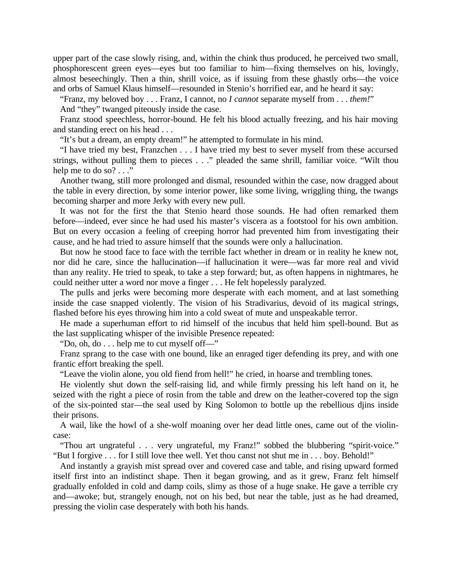upper part of the case slowly rising, and, within the chink thus produced, he perceived two small, phosphorescent green eyes—eyes but too familiar to him—fixing themselves on his, lovingly, almost beseechingly. Then a thin, shrill voice, as if issuing from these ghastly orbs—the voice and orbs of Samuel Klaus himself—resounded in Stenio's horrified ear, and he heard it say:

"Franz, my beloved boy . . . Franz, I cannot, no *I cannot* separate myself from . . . *them!*"

And "they" twanged piteously inside the case.

Franz stood speechless, horror-bound. He felt his blood actually freezing, and his hair moving and standing erect on his head . . .

"It's but a dream, an empty dream!" he attempted to formulate in his mind.

"I have tried my best, Franzchen . . . I have tried my best to sever myself from these accursed strings, without pulling them to pieces . . ." pleaded the same shrill, familiar voice. "Wilt thou help me to do so? . . ."

Another twang, still more prolonged and dismal, resounded within the case, now dragged about the table in every direction, by some interior power, like some living, wriggling thing, the twangs becoming sharper and more Jerky with every new pull.

It was not for the first the that Stenio heard those sounds. He had often remarked them before—indeed, ever since he had used his master's viscera as a footstool for his own ambition. But on every occasion a feeling of creeping horror had prevented him from investigating their cause, and he had tried to assure himself that the sounds were only a hallucination.

But now he stood face to face with the terrible fact whether in dream or in reality he knew not, nor did he care, since the hallucination—if hallucination it were—was far more real and vivid than any reality. He tried to speak, to take a step forward; but, as often happens in nightmares, he could neither utter a word nor move a finger . . . He felt hopelessly paralyzed.

The pulls and jerks were becoming more desperate with each moment, and at last something inside the case snapped violently. The vision of his Stradivarius, devoid of its magical strings, flashed before his eyes throwing him into a cold sweat of mute and unspeakable terror.

He made a superhuman effort to rid himself of the incubus that held him spell-bound. But as the last supplicating whisper of the invisible Presence repeated:

"Do, oh, do . . . help me to cut myself off—"

Franz sprang to the case with one bound, like an enraged tiger defending its prey, and with one frantic effort breaking the spell.

"Leave the violin alone, you old fiend from hell!" he cried, in hoarse and trembling tones.

He violently shut down the self-raising lid, and while firmly pressing his left hand on it, he seized with the right a piece of rosin from the table and drew on the leather-covered top the sign of the six-pointed star—the seal used by King Solomon to bottle up the rebellious djins inside their prisons.

A wail, like the howl of a she-wolf moaning over her dead little ones, came out of the violincase:

"Thou art ungrateful . . . very ungrateful, my Franz!" sobbed the blubbering "spirit-voice." "But I forgive . . . for I still love thee well. Yet thou canst not shut me in . . . boy. Behold!"

And instantly a grayish mist spread over and covered case and table, and rising upward formed itself first into an indistinct shape. Then it began growing, and as it grew, Franz felt himself gradually enfolded in cold and damp coils, slimy as those of a huge snake. He gave a terrible cry and—awoke; but, strangely enough, not on his bed, but near the table, just as he had dreamed, pressing the violin case desperately with both his hands.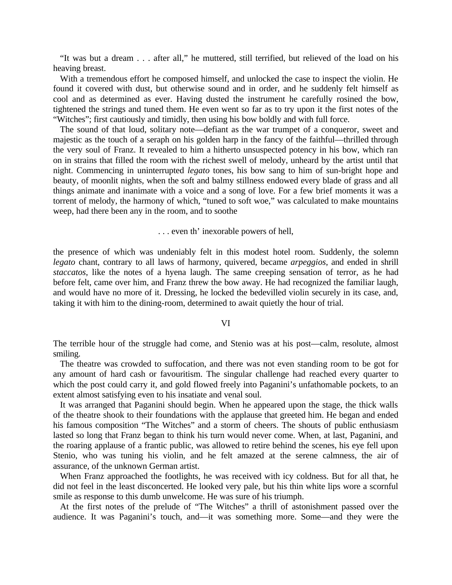"It was but a dream . . . after all," he muttered, still terrified, but relieved of the load on his heaving breast.

With a tremendous effort he composed himself, and unlocked the case to inspect the violin. He found it covered with dust, but otherwise sound and in order, and he suddenly felt himself as cool and as determined as ever. Having dusted the instrument he carefully rosined the bow, tightened the strings and tuned them. He even went so far as to try upon it the first notes of the "Witches"; first cautiously and timidly, then using his bow boldly and with full force.

The sound of that loud, solitary note—defiant as the war trumpet of a conqueror, sweet and majestic as the touch of a seraph on his golden harp in the fancy of the faithful—thrilled through the very soul of Franz. It revealed to him a hitherto unsuspected potency in his bow, which ran on in strains that filled the room with the richest swell of melody, unheard by the artist until that night. Commencing in uninterrupted *legato* tones, his bow sang to him of sun-bright hope and beauty, of moonlit nights, when the soft and balmy stillness endowed every blade of grass and all things animate and inanimate with a voice and a song of love. For a few brief moments it was a torrent of melody, the harmony of which, "tuned to soft woe," was calculated to make mountains weep, had there been any in the room, and to soothe

. . . even th' inexorable powers of hell,

the presence of which was undeniably felt in this modest hotel room. Suddenly, the solemn *legato* chant, contrary to all laws of harmony, quivered, became *arpeggios*, and ended in shrill *staccatos*, like the notes of a hyena laugh. The same creeping sensation of terror, as he had before felt, came over him, and Franz threw the bow away. He had recognized the familiar laugh, and would have no more of it. Dressing, he locked the bedevilled violin securely in its case, and, taking it with him to the dining-room, determined to await quietly the hour of trial.

## VI

The terrible hour of the struggle had come, and Stenio was at his post—calm, resolute, almost smiling.

The theatre was crowded to suffocation, and there was not even standing room to be got for any amount of hard cash or favouritism. The singular challenge had reached every quarter to which the post could carry it, and gold flowed freely into Paganini's unfathomable pockets, to an extent almost satisfying even to his insatiate and venal soul.

It was arranged that Paganini should begin. When he appeared upon the stage, the thick walls of the theatre shook to their foundations with the applause that greeted him. He began and ended his famous composition "The Witches" and a storm of cheers. The shouts of public enthusiasm lasted so long that Franz began to think his turn would never come. When, at last, Paganini, and the roaring applause of a frantic public, was allowed to retire behind the scenes, his eye fell upon Stenio, who was tuning his violin, and he felt amazed at the serene calmness, the air of assurance, of the unknown German artist.

When Franz approached the footlights, he was received with icy coldness. But for all that, he did not feel in the least disconcerted. He looked very pale, but his thin white lips wore a scornful smile as response to this dumb unwelcome. He was sure of his triumph.

At the first notes of the prelude of "The Witches" a thrill of astonishment passed over the audience. It was Paganini's touch, and—it was something more. Some—and they were the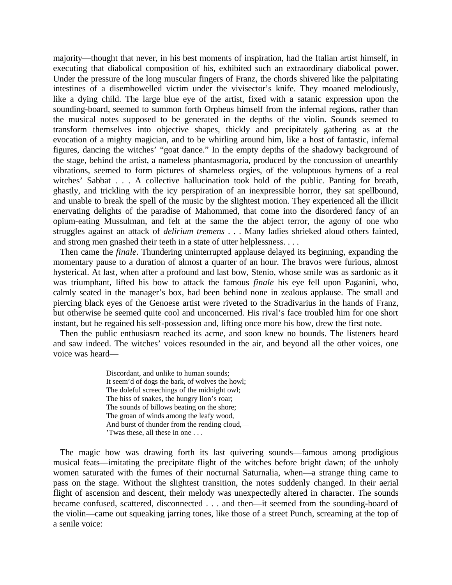majority—thought that never, in his best moments of inspiration, had the Italian artist himself, in executing that diabolical composition of his, exhibited such an extraordinary diabolical power. Under the pressure of the long muscular fingers of Franz, the chords shivered like the palpitating intestines of a disembowelled victim under the vivisector's knife. They moaned melodiously, like a dying child. The large blue eye of the artist, fixed with a satanic expression upon the sounding-board, seemed to summon forth Orpheus himself from the infernal regions, rather than the musical notes supposed to be generated in the depths of the violin. Sounds seemed to transform themselves into objective shapes, thickly and precipitately gathering as at the evocation of a mighty magician, and to be whirling around him, like a host of fantastic, infernal figures, dancing the witches' "goat dance." In the empty depths of the shadowy background of the stage, behind the artist, a nameless phantasmagoria, produced by the concussion of unearthly vibrations, seemed to form pictures of shameless orgies, of the voluptuous hymens of a real witches' Sabbat . . . A collective hallucination took hold of the public. Panting for breath, ghastly, and trickling with the icy perspiration of an inexpressible horror, they sat spellbound, and unable to break the spell of the music by the slightest motion. They experienced all the illicit enervating delights of the paradise of Mahommed, that come into the disordered fancy of an opium-eating Mussulman, and felt at the same the the abject terror, the agony of one who struggles against an attack of *delirium tremens* . . . Many ladies shrieked aloud others fainted, and strong men gnashed their teeth in a state of utter helplessness. . . .

Then came the *finale*. Thundering uninterrupted applause delayed its beginning, expanding the momentary pause to a duration of almost a quarter of an hour. The bravos were furious, almost hysterical. At last, when after a profound and last bow, Stenio, whose smile was as sardonic as it was triumphant, lifted his bow to attack the famous *finale* his eye fell upon Paganini, who, calmly seated in the manager's box, had been behind none in zealous applause. The small and piercing black eyes of the Genoese artist were riveted to the Stradivarius in the hands of Franz, but otherwise he seemed quite cool and unconcerned. His rival's face troubled him for one short instant, but he regained his self-possession and, lifting once more his bow, drew the first note.

Then the public enthusiasm reached its acme, and soon knew no bounds. The listeners heard and saw indeed. The witches' voices resounded in the air, and beyond all the other voices, one voice was heard—

> Discordant, and unlike to human sounds; It seem'd of dogs the bark, of wolves the howl; The doleful screechings of the midnight owl; The hiss of snakes, the hungry lion's roar; The sounds of billows beating on the shore; The groan of winds among the leafy wood, And burst of thunder from the rending cloud,— 'Twas these, all these in one . . .

The magic bow was drawing forth its last quivering sounds—famous among prodigious musical feats—imitating the precipitate flight of the witches before bright dawn; of the unholy women saturated with the fumes of their nocturnal Saturnalia, when—a strange thing came to pass on the stage. Without the slightest transition, the notes suddenly changed. In their aerial flight of ascension and descent, their melody was unexpectedly altered in character. The sounds became confused, scattered, disconnected . . . and then—it seemed from the sounding-board of the violin—came out squeaking jarring tones, like those of a street Punch, screaming at the top of a senile voice: